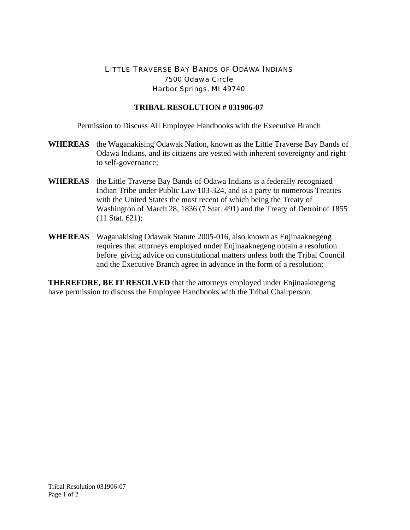## LITTLE TRAVERSE BAY BANDS OF ODAWA INDIANS 7500 Odawa Circle Harbor Springs, MI 49740

## **TRIBAL RESOLUTION # 031906-07**

Permission to Discuss All Employee Handbooks with the Executive Branch

- **WHEREAS** the Waganakising Odawak Nation, known as the Little Traverse Bay Bands of Odawa Indians, and its citizens are vested with inherent sovereignty and right to self-governance;
- **WHEREAS** the Little Traverse Bay Bands of Odawa Indians is a federally recognized Indian Tribe under Public Law 103-324, and is a party to numerous Treaties with the United States the most recent of which being the Treaty of Washington of March 28, 1836 (7 Stat. 491) and the Treaty of Detroit of 1855 (11 Stat. 621);
- **WHEREAS** Waganakising Odawak Statute 2005-016, also known as Enjinaaknegeng requires that attorneys employed under Enjinaaknegeng obtain a resolution before giving advice on constitutional matters unless both the Tribal Council and the Executive Branch agree in advance in the form of a resolution;

**THEREFORE, BE IT RESOLVED** that the attorneys employed under Enjinaaknegeng have permission to discuss the Employee Handbooks with the Tribal Chairperson.